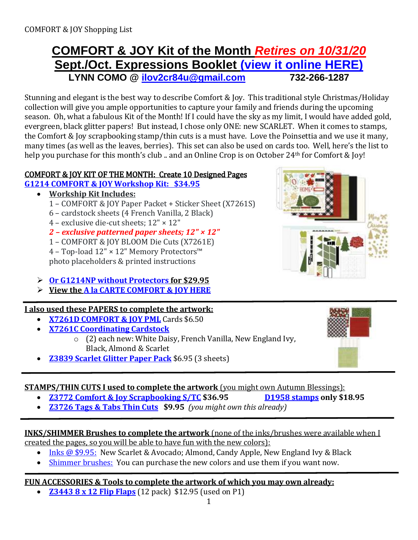## **COMFORT & JOY Kit of the Month** *Retires on 10/31/20* **Sept./Oct. Expressions Booklet [\(view it online HERE\)](https://lynncomo.closetomyheart.com/ctmh/products/online-catalog.aspx) LYNN COMO @ [ilov2cr84u@gmail.com](mailto:ilov2cr84u@optonline.net) 732-266-1287**

Stunning and elegant is the best way to describe Comfort & Joy. This traditional style Christmas/Holiday collection will give you ample opportunities to capture your family and friends during the upcoming season. Oh, what a fabulous Kit of the Month! If I could have the sky as my limit, I would have added gold, evergreen, black glitter papers! But instead, I chose only ONE: new SCARLET. When it comes to stamps, the Comfort & Joy scrapbooking stamp/thin cuts is a must have. Love the Poinsettia and we use it many, many times (as well as the leaves, berries). This set can also be used on cards too. Well, here's the list to help you purchase for this month's club .. and an Online Crop is on October 24<sup>th</sup> for Comfort & Joy!

### COMFORT & JOY KIT OF THE MONTH: Create 10 Designed Pages

#### **G1214 COMFORT & JOY [Workshop Kit: \\$34.95](https://lynncomo.closetomyheart.com/retail/Product.aspx?ItemID=13946)**

- **Workship Kit Includes:**
	- 1 COMFORT & JOY Paper Packet + Sticker Sheet (X7261S)
	- 6 cardstock sheets (4 French Vanilla, 2 Black)
	- 4 exclusive die-cut sheets; 12" × 12"
	- *2 – exclusive patterned paper sheets; 12" × 12"*

1 – COMFORT & JOY BLOOM Die Cuts (X7261E) 4 – Top-load 12" × 12" Memory Protectors™ photo placeholders & printed instructions

- **Or G1214NP [without Protectors](https://lynncomo.closetomyheart.com/retail/Product.aspx?ItemID=14052) for \$29.95**
- **View th[e A la CARTE COMFORT & JOY](https://lynncomo.closetomyheart.com/retail/search.aspx?searchvalue=oct20) HERE**

### **I also used these PAPERS to complete the artwork:**

- **[X7261D COMFORT & JOY](https://lynncomo.closetomyheart.com/retail/Product.aspx?ItemID=14082) PML** Cards \$6.50
- **[X7261C Coordinating Cardstock](https://lynncomo.closetomyheart.com/retail/search.aspx?searchvalue=custom)**
	- o (2) each new: White Daisy, French Vanilla, New England Ivy, Black, Almond & Scarlet
- **[Z3839 Scarlet Glitter Paper](https://lynncomo.closetomyheart.com/retail/Product.aspx?ItemID=14242) Pack** \$6.95 (3 sheets)

### **STAMPS/THIN CUTS I used to complete the artwork** (you might own Autumn Blessings):

- **[Z3772 Comfort & Joy Scrapbooking S/TC](https://lynncomo.closetomyheart.com/retail/Product.aspx?ItemID=14176) \$36.95 [D1958](https://lynncomo.closetomyheart.com/retail/Product.aspx?ItemID=14032) stamps only \$18.95**
- **[Z3726 Tags & Tabs Thin Cuts](https://lynncomo.closetomyheart.com/retail/Product.aspx?ItemID=13752) \$9.95** *(you might own this already)*

### **INKS/SHIMMER Brushes to complete the artwork** (none of the inks/brushes were available when I

created the pages, so you will be able to have fun with the new colors):

- Inks [@ \\$9.95:](https://lynncomo.closetomyheart.com/retail/Products.aspx?CatalogID=235) New Scarlet & Avocado; Almond, Candy Apple, New England Ivy & Black
- Shimmer brushes: You can purchase the new colors and use them if you want now.

### **FUN ACCESSORIES & Tools to complete the artwork of which you may own already:**

**[Z3443 8 x 12 Flip Flaps](https://lynncomo.closetomyheart.com/retail/Product.aspx?ItemID=14130)** (12 pack) \$12.95 (used on P1)

1